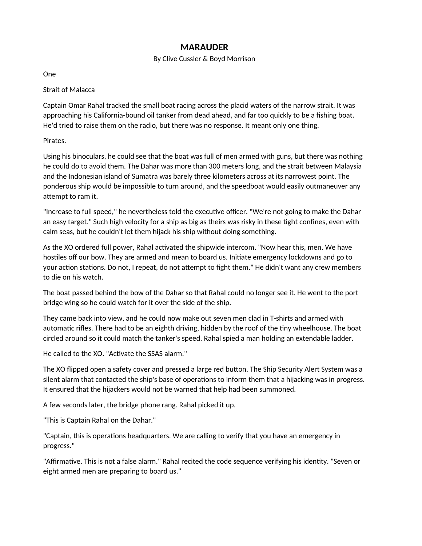## **MARAUDER**

## By Clive Cussler & Boyd Morrison

One

Strait of Malacca

Captain Omar Rahal tracked the small boat racing across the placid waters of the narrow strait. It was approaching his California-bound oil tanker from dead ahead, and far too quickly to be a fishing boat. He'd tried to raise them on the radio, but there was no response. It meant only one thing.

Pirates.

Using his binoculars, he could see that the boat was full of men armed with guns, but there was nothing he could do to avoid them. The Dahar was more than 300 meters long, and the strait between Malaysia and the Indonesian island of Sumatra was barely three kilometers across at its narrowest point. The ponderous ship would be impossible to turn around, and the speedboat would easily outmaneuver any attempt to ram it.

"Increase to full speed," he nevertheless told the executive officer. "We're not going to make the Dahar an easy target." Such high velocity for a ship as big as theirs was risky in these tight confines, even with calm seas, but he couldn't let them hijack his ship without doing something.

As the XO ordered full power, Rahal activated the shipwide intercom. "Now hear this, men. We have hostiles off our bow. They are armed and mean to board us. Initiate emergency lockdowns and go to your action stations. Do not, I repeat, do not attempt to fight them." He didn't want any crew members to die on his watch.

The boat passed behind the bow of the Dahar so that Rahal could no longer see it. He went to the port bridge wing so he could watch for it over the side of the ship.

They came back into view, and he could now make out seven men clad in T-shirts and armed with automatic rifles. There had to be an eighth driving, hidden by the roof of the tiny wheelhouse. The boat circled around so it could match the tanker's speed. Rahal spied a man holding an extendable ladder.

He called to the XO. "Activate the SSAS alarm."

The XO flipped open a safety cover and pressed a large red button. The Ship Security Alert System was a silent alarm that contacted the ship's base of operations to inform them that a hijacking was in progress. It ensured that the hijackers would not be warned that help had been summoned.

A few seconds later, the bridge phone rang. Rahal picked it up.

"This is Captain Rahal on the Dahar."

"Captain, this is operations headquarters. We are calling to verify that you have an emergency in progress."

"Affirmative. This is not a false alarm." Rahal recited the code sequence verifying his identity. "Seven or eight armed men are preparing to board us."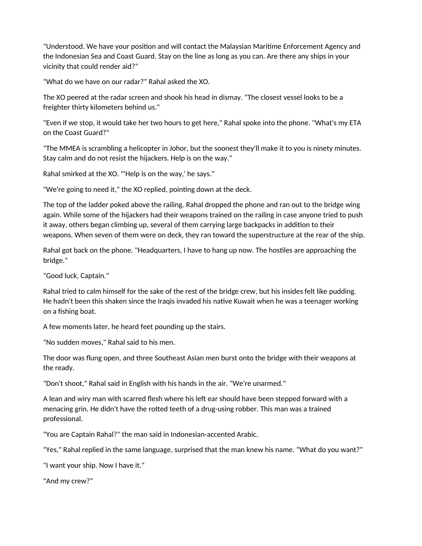"Understood. We have your position and will contact the Malaysian Maritime Enforcement Agency and the Indonesian Sea and Coast Guard. Stay on the line as long as you can. Are there any ships in your vicinity that could render aid?"

"What do we have on our radar?" Rahal asked the XO.

The XO peered at the radar screen and shook his head in dismay. "The closest vessel looks to be a freighter thirty kilometers behind us."

"Even if we stop, it would take her two hours to get here," Rahal spoke into the phone. "What's my ETA on the Coast Guard?"

"The MMEA is scrambling a helicopter in Johor, but the soonest they'll make it to you is ninety minutes. Stay calm and do not resist the hijackers. Help is on the way."

Rahal smirked at the XO. "'Help is on the way,' he says."

"We're going to need it," the XO replied, pointing down at the deck.

The top of the ladder poked above the railing. Rahal dropped the phone and ran out to the bridge wing again. While some of the hijackers had their weapons trained on the railing in case anyone tried to push it away, others began climbing up, several of them carrying large backpacks in addition to their weapons. When seven of them were on deck, they ran toward the superstructure at the rear of the ship.

Rahal got back on the phone. "Headquarters, I have to hang up now. The hostiles are approaching the bridge."

"Good luck, Captain."

Rahal tried to calm himself for the sake of the rest of the bridge crew, but his insides felt like pudding. He hadn't been this shaken since the Iraqis invaded his native Kuwait when he was a teenager working on a fishing boat.

A few moments later, he heard feet pounding up the stairs.

"No sudden moves," Rahal said to his men.

The door was flung open, and three Southeast Asian men burst onto the bridge with their weapons at the ready.

"Don't shoot," Rahal said in English with his hands in the air. "We're unarmed."

A lean and wiry man with scarred flesh where his left ear should have been stepped forward with a menacing grin. He didn't have the rotted teeth of a drug-using robber. This man was a trained professional.

"You are Captain Rahal?" the man said in Indonesian-accented Arabic.

"Yes," Rahal replied in the same language, surprised that the man knew his name. "What do you want?"

"I want your ship. Now I have it."

"And my crew?"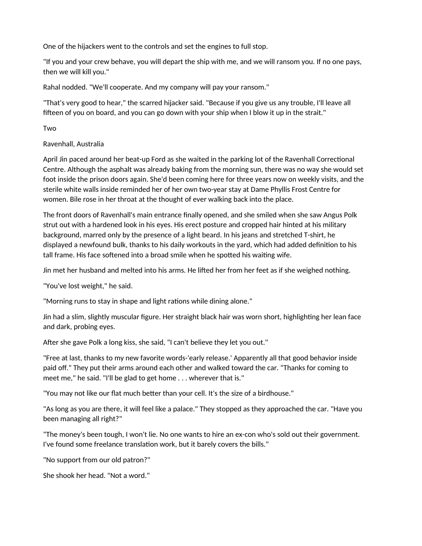One of the hijackers went to the controls and set the engines to full stop.

"If you and your crew behave, you will depart the ship with me, and we will ransom you. If no one pays, then we will kill you."

Rahal nodded. "We'll cooperate. And my company will pay your ransom."

"That's very good to hear," the scarred hijacker said. "Because if you give us any trouble, I'll leave all fifteen of you on board, and you can go down with your ship when I blow it up in the strait."

Two

Ravenhall, Australia

April Jin paced around her beat-up Ford as she waited in the parking lot of the Ravenhall Correctional Centre. Although the asphalt was already baking from the morning sun, there was no way she would set foot inside the prison doors again. She'd been coming here for three years now on weekly visits, and the sterile white walls inside reminded her of her own two-year stay at Dame Phyllis Frost Centre for women. Bile rose in her throat at the thought of ever walking back into the place.

The front doors of Ravenhall's main entrance finally opened, and she smiled when she saw Angus Polk strut out with a hardened look in his eyes. His erect posture and cropped hair hinted at his military background, marred only by the presence of a light beard. In his jeans and stretched T-shirt, he displayed a newfound bulk, thanks to his daily workouts in the yard, which had added definition to his tall frame. His face softened into a broad smile when he spotted his waiting wife.

Jin met her husband and melted into his arms. He lifted her from her feet as if she weighed nothing.

"You've lost weight," he said.

"Morning runs to stay in shape and light rations while dining alone."

Jin had a slim, slightly muscular figure. Her straight black hair was worn short, highlighting her lean face and dark, probing eyes.

After she gave Polk a long kiss, she said, "I can't believe they let you out."

"Free at last, thanks to my new favorite words-'early release.' Apparently all that good behavior inside paid off." They put their arms around each other and walked toward the car. "Thanks for coming to meet me," he said. "I'll be glad to get home . . . wherever that is."

"You may not like our flat much better than your cell. It's the size of a birdhouse."

"As long as you are there, it will feel like a palace." They stopped as they approached the car. "Have you been managing all right?"

"The money's been tough, I won't lie. No one wants to hire an ex-con who's sold out their government. I've found some freelance translation work, but it barely covers the bills."

"No support from our old patron?"

She shook her head. "Not a word."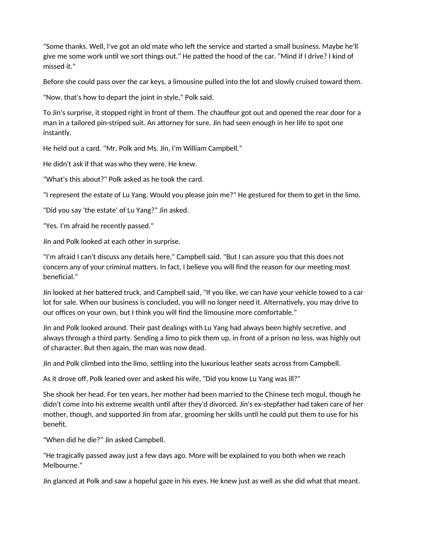"Some thanks. Well, I've got an old mate who left the service and started a small business. Maybe he'll give me some work until we sort things out." He patted the hood of the car. "Mind if I drive? I kind of missed it."

Before she could pass over the car keys, a limousine pulled into the lot and slowly cruised toward them.

"Now, that's how to depart the joint in style," Polk said.

To Jin's surprise, it stopped right in front of them. The chauffeur got out and opened the rear door for a man in a tailored pin-striped suit. An attorney for sure. Jin had seen enough in her life to spot one instantly.

He held out a card. "Mr. Polk and Ms. Jin, I'm William Campbell."

He didn't ask if that was who they were. He knew.

"What's this about?" Polk asked as he took the card.

"I represent the estate of Lu Yang. Would you please join me?" He gestured for them to get in the limo.

"Did you say 'the estate' of Lu Yang?" Jin asked.

"Yes. I'm afraid he recently passed."

Jin and Polk looked at each other in surprise.

"I'm afraid I can't discuss any details here," Campbell said. "But I can assure you that this does not concern any of your criminal matters. In fact, I believe you will find the reason for our meeting most beneficial."

Jin looked at her battered truck, and Campbell said, "If you like, we can have your vehicle towed to a car lot for sale. When our business is concluded, you will no longer need it. Alternatively, you may drive to our offices on your own, but I think you will find the limousine more comfortable."

Jin and Polk looked around. Their past dealings with Lu Yang had always been highly secretive, and always through a third party. Sending a limo to pick them up, in front of a prison no less, was highly out of character. But then again, the man was now dead.

Jin and Polk climbed into the limo, settling into the luxurious leather seats across from Campbell.

As it drove off, Polk leaned over and asked his wife, "Did you know Lu Yang was ill?"

She shook her head. For ten years, her mother had been married to the Chinese tech mogul, though he didn't come into his extreme wealth until after they'd divorced. Jin's ex-stepfather had taken care of her mother, though, and supported Jin from afar, grooming her skills until he could put them to use for his benefit.

"When did he die?" Jin asked Campbell.

"He tragically passed away just a few days ago. More will be explained to you both when we reach Melbourne."

Jin glanced at Polk and saw a hopeful gaze in his eyes. He knew just as well as she did what that meant.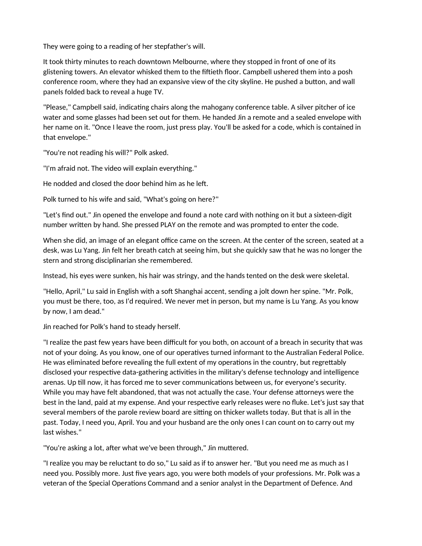They were going to a reading of her stepfather's will.

It took thirty minutes to reach downtown Melbourne, where they stopped in front of one of its glistening towers. An elevator whisked them to the fiftieth floor. Campbell ushered them into a posh conference room, where they had an expansive view of the city skyline. He pushed a button, and wall panels folded back to reveal a huge TV.

"Please," Campbell said, indicating chairs along the mahogany conference table. A silver pitcher of ice water and some glasses had been set out for them. He handed Jin a remote and a sealed envelope with her name on it. "Once I leave the room, just press play. You'll be asked for a code, which is contained in that envelope."

"You're not reading his will?" Polk asked.

"I'm afraid not. The video will explain everything."

He nodded and closed the door behind him as he left.

Polk turned to his wife and said, "What's going on here?"

"Let's find out." Jin opened the envelope and found a note card with nothing on it but a sixteen-digit number written by hand. She pressed PLAY on the remote and was prompted to enter the code.

When she did, an image of an elegant office came on the screen. At the center of the screen, seated at a desk, was Lu Yang. Jin felt her breath catch at seeing him, but she quickly saw that he was no longer the stern and strong disciplinarian she remembered.

Instead, his eyes were sunken, his hair was stringy, and the hands tented on the desk were skeletal.

"Hello, April," Lu said in English with a soft Shanghai accent, sending a jolt down her spine. "Mr. Polk, you must be there, too, as I'd required. We never met in person, but my name is Lu Yang. As you know by now, I am dead."

Jin reached for Polk's hand to steady herself.

"I realize the past few years have been difficult for you both, on account of a breach in security that was not of your doing. As you know, one of our operatives turned informant to the Australian Federal Police. He was eliminated before revealing the full extent of my operations in the country, but regrettably disclosed your respective data-gathering activities in the military's defense technology and intelligence arenas. Up till now, it has forced me to sever communications between us, for everyone's security. While you may have felt abandoned, that was not actually the case. Your defense attorneys were the best in the land, paid at my expense. And your respective early releases were no fluke. Let's just say that several members of the parole review board are sitting on thicker wallets today. But that is all in the past. Today, I need you, April. You and your husband are the only ones I can count on to carry out my last wishes."

"You're asking a lot, after what we've been through," Jin muttered.

"I realize you may be reluctant to do so," Lu said as if to answer her. "But you need me as much as I need you. Possibly more. Just five years ago, you were both models of your professions. Mr. Polk was a veteran of the Special Operations Command and a senior analyst in the Department of Defence. And